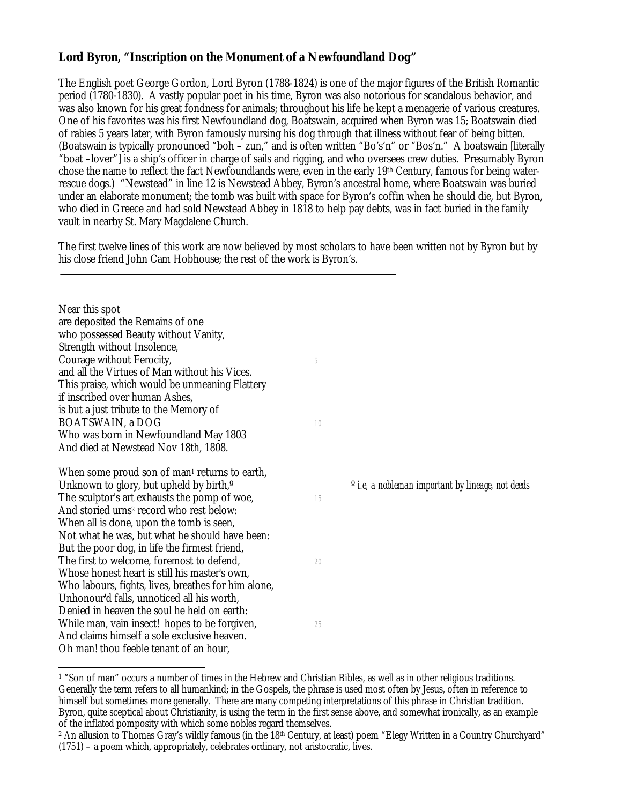## **Lord Byron, "Inscription on the Monument of a Newfoundland Dog"**

The English poet George Gordon, Lord Byron (1788-1824) is one of the major figures of the British Romantic period (1780-1830). A vastly popular poet in his time, Byron was also notorious for scandalous behavior, and was also known for his great fondness for animals; throughout his life he kept a menagerie of various creatures. One of his favorites was his first Newfoundland dog, Boatswain, acquired when Byron was 15; Boatswain died of rabies 5 years later, with Byron famously nursing his dog through that illness without fear of being bitten. (Boatswain is typically pronounced "boh – zun," and is often written "Bo's'n" or "Bos'n." A boatswain [literally "boat –lover"] is a ship's officer in charge of sails and rigging, and who oversees crew duties. Presumably Byron chose the name to reflect the fact Newfoundlands were, even in the early 19th Century, famous for being waterrescue dogs.) "Newstead" in line 12 is Newstead Abbey, Byron's ancestral home, where Boatswain was buried under an elaborate monument; the tomb was built with space for Byron's coffin when he should die, but Byron, who died in Greece and had sold Newstead Abbey in 1818 to help pay debts, was in fact buried in the family vault in nearby St. Mary Magdalene Church.

The first twelve lines of this work are now believed by most scholars to have been written not by Byron but by his close friend John Cam Hobhouse; the rest of the work is Byron's.

| Near this spot<br>are deposited the Remains of one<br>who possessed Beauty without Vanity,<br>Strength without Insolence,<br>Courage without Ferocity,<br>and all the Virtues of Man without his Vices.<br>This praise, which would be unmeaning Flattery<br>if inscribed over human Ashes,<br>is but a just tribute to the Memory of<br><b>BOATSWAIN, a DOG</b><br>Who was born in Newfoundland May 1803<br>And died at Newstead Nov 18th, 1808.                     | 5<br>10  |                                                                     |
|-----------------------------------------------------------------------------------------------------------------------------------------------------------------------------------------------------------------------------------------------------------------------------------------------------------------------------------------------------------------------------------------------------------------------------------------------------------------------|----------|---------------------------------------------------------------------|
| When some proud son of man <sup>1</sup> returns to earth,<br>Unknown to glory, but upheld by birth, <sup>o</sup><br>The sculptor's art exhausts the pomp of woe,<br>And storied urns <sup>2</sup> record who rest below:<br>When all is done, upon the tomb is seen,<br>Not what he was, but what he should have been:<br>But the poor dog, in life the firmest friend,<br>The first to welcome, foremost to defend,<br>Whose honest heart is still his master's own, | 15<br>20 | <sup>o</sup> <i>i.e, a nobleman important by lineage, not deeds</i> |
| Who labours, fights, lives, breathes for him alone,<br>Unhonour'd falls, unnoticed all his worth,<br>Denied in heaven the soul he held on earth:<br>While man, vain insect! hopes to be forgiven,<br>And claims himself a sole exclusive heaven.<br>Oh man! thou feeble tenant of an hour,                                                                                                                                                                            | 25       |                                                                     |

<span id="page-0-0"></span> <sup>1 &</sup>quot;Son of man" occurs a number of times in the Hebrew and Christian Bibles, as well as in other religious traditions. Generally the term refers to all humankind; in the Gospels, the phrase is used most often by Jesus, often in reference to himself but sometimes more generally. There are many competing interpretations of this phrase in Christian tradition. Byron, quite sceptical about Christianity, is using the term in the first sense above, and somewhat ironically, as an example of the inflated pomposity with which some nobles regard themselves.

<span id="page-0-1"></span><sup>&</sup>lt;sup>2</sup> An allusion to Thomas Gray's wildly famous (in the 18<sup>th</sup> Century, at least) poem "Elegy Written in a Country Churchyard" (1751) – a poem which, appropriately, celebrates ordinary, not aristocratic, lives.